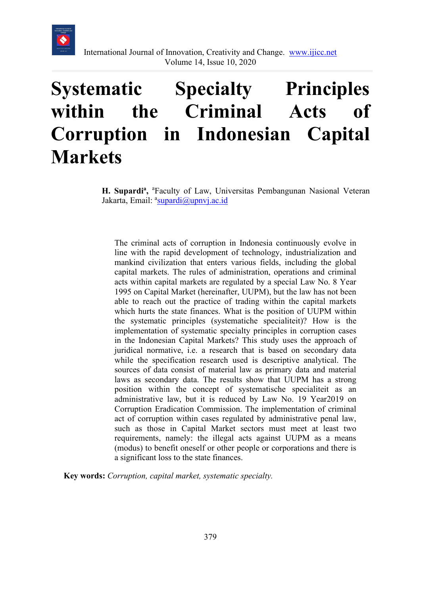

# **Systematic Specialty Principles within the Criminal Acts of Corruption in Indonesian Capital Markets**

H. Supardi<sup>a</sup>, <sup>a</sup>Faculty of Law, Universitas Pembangunan Nasional Veteran Jakarta, Email: <sup>a</sup>[supardi@upnvj.ac.id](mailto:supardi@upnvj.ac.id)

The criminal acts of corruption in Indonesia continuously evolve in line with the rapid development of technology, industrialization and mankind civilization that enters various fields, including the global capital markets. The rules of administration, operations and criminal acts within capital markets are regulated by a special Law No. 8 Year 1995 on Capital Market (hereinafter, UUPM), but the law has not been able to reach out the practice of trading within the capital markets which hurts the state finances. What is the position of UUPM within the systematic principles (systematiche specialiteit)? How is the implementation of systematic specialty principles in corruption cases in the Indonesian Capital Markets? This study uses the approach of juridical normative, i.e. a research that is based on secondary data while the specification research used is descriptive analytical. The sources of data consist of material law as primary data and material laws as secondary data. The results show that UUPM has a strong position within the concept of systematische specialiteit as an administrative law, but it is reduced by Law No. 19 Year2019 on Corruption Eradication Commission. The implementation of criminal act of corruption within cases regulated by administrative penal law, such as those in Capital Market sectors must meet at least two requirements, namely: the illegal acts against UUPM as a means (modus) to benefit oneself or other people or corporations and there is a significant loss to the state finances.

**Key words:** *Corruption, capital market, systematic specialty.*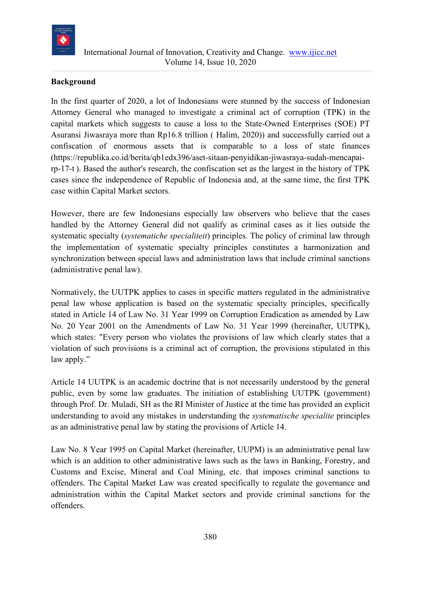

## **Background**

In the first quarter of 2020, a lot of Indonesians were stunned by the success of Indonesian Attorney General who managed to investigate a criminal act of corruption (TPK) in the capital markets which suggests to cause a loss to the State-Owned Enterprises (SOE) PT Asuransi Jiwasraya more than Rp16.8 trillion ( Halim, 2020)) and successfully carried out a confiscation of enormous assets that is comparable to a loss of state finances (https://republika.co.id/berita/qb1edx396/aset-sitaan-penyidikan-jiwasraya-sudah-mencapairp-17-t ). Based the author's research, the confiscation set as the largest in the history of TPK cases since the independence of Republic of Indonesia and, at the same time, the first TPK case within Capital Market sectors.

However, there are few Indonesians especially law observers who believe that the cases handled by the Attorney General did not qualify as criminal cases as it lies outside the systematic specialty (*systematiche specialiteit*) principles. The policy of criminal law through the implementation of systematic specialty principles constitutes a harmonization and synchronization between special laws and administration laws that include criminal sanctions (administrative penal law).

Normatively, the UUTPK applies to cases in specific matters regulated in the administrative penal law whose application is based on the systematic specialty principles, specifically stated in Article 14 of Law No. 31 Year 1999 on Corruption Eradication as amended by Law No. 20 Year 2001 on the Amendments of Law No. 31 Year 1999 (hereinafter, UUTPK), which states: "Every person who violates the provisions of law which clearly states that a violation of such provisions is a criminal act of corruption, the provisions stipulated in this law apply."

Article 14 UUTPK is an academic doctrine that is not necessarily understood by the general public, even by some law graduates. The initiation of establishing UUTPK (government) through Prof. Dr. Muladi, SH as the RI Minister of Justice at the time has provided an explicit understanding to avoid any mistakes in understanding the *systematische specialite* principles as an administrative penal law by stating the provisions of Article 14.

Law No. 8 Year 1995 on Capital Market (hereinafter, UUPM) is an administrative penal law which is an addition to other administrative laws such as the laws in Banking, Forestry, and Customs and Excise, Mineral and Coal Mining, etc. that imposes criminal sanctions to offenders. The Capital Market Law was created specifically to regulate the governance and administration within the Capital Market sectors and provide criminal sanctions for the offenders.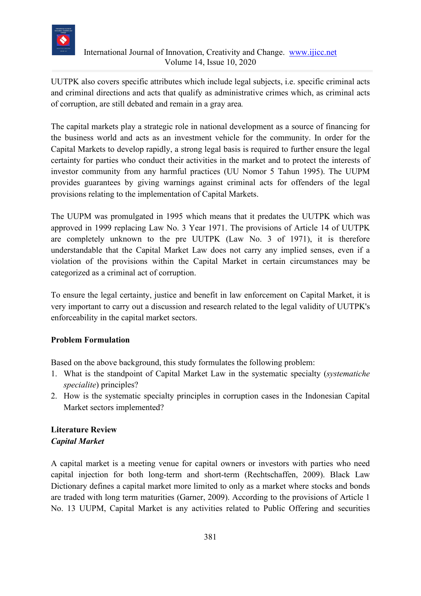

UUTPK also covers specific attributes which include legal subjects, i.e. specific criminal acts and criminal directions and acts that qualify as administrative crimes which, as criminal acts of corruption, are still debated and remain in a gray area*.*

The capital markets play a strategic role in national development as a source of financing for the business world and acts as an investment vehicle for the community. In order for the Capital Markets to develop rapidly, a strong legal basis is required to further ensure the legal certainty for parties who conduct their activities in the market and to protect the interests of investor community from any harmful practices (UU Nomor 5 Tahun 1995). The UUPM provides guarantees by giving warnings against criminal acts for offenders of the legal provisions relating to the implementation of Capital Markets.

The UUPM was promulgated in 1995 which means that it predates the UUTPK which was approved in 1999 replacing Law No. 3 Year 1971. The provisions of Article 14 of UUTPK are completely unknown to the pre UUTPK (Law No. 3 of 1971), it is therefore understandable that the Capital Market Law does not carry any implied senses, even if a violation of the provisions within the Capital Market in certain circumstances may be categorized as a criminal act of corruption.

To ensure the legal certainty, justice and benefit in law enforcement on Capital Market, it is very important to carry out a discussion and research related to the legal validity of UUTPK's enforceability in the capital market sectors.

# **Problem Formulation**

Based on the above background, this study formulates the following problem:

- 1. What is the standpoint of Capital Market Law in the systematic specialty (*systematiche specialite*) principles?
- 2. How is the systematic specialty principles in corruption cases in the Indonesian Capital Market sectors implemented?

# **Literature Review** *Capital Market*

A capital market is a meeting venue for capital owners or investors with parties who need capital injection for both long-term and short-term (Rechtschaffen, 2009). Black Law Dictionary defines a capital market more limited to only as a market where stocks and bonds are traded with long term maturities (Garner, 2009). According to the provisions of Article 1 No. 13 UUPM, Capital Market is any activities related to Public Offering and securities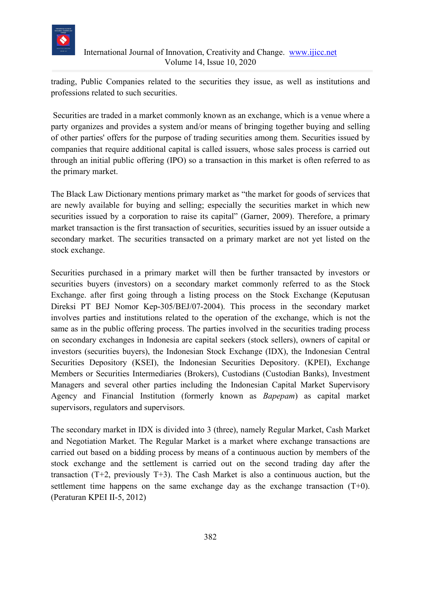

trading, Public Companies related to the securities they issue, as well as institutions and professions related to such securities.

Securities are traded in a market commonly known as an exchange, which is a venue where a party organizes and provides a system and/or means of bringing together buying and selling of other parties' offers for the purpose of trading securities among them. Securities issued by companies that require additional capital is called issuers, whose sales process is carried out through an initial public offering (IPO) so a transaction in this market is often referred to as the primary market.

The Black Law Dictionary mentions primary market as "the market for goods of services that are newly available for buying and selling; especially the securities market in which new securities issued by a corporation to raise its capital" (Garner, 2009). Therefore, a primary market transaction is the first transaction of securities, securities issued by an issuer outside a secondary market. The securities transacted on a primary market are not yet listed on the stock exchange.

Securities purchased in a primary market will then be further transacted by investors or securities buyers (investors) on a secondary market commonly referred to as the Stock Exchange. after first going through a listing process on the Stock Exchange (Keputusan Direksi PT BEJ Nomor Kep-305/BEJ/07-2004). This process in the secondary market involves parties and institutions related to the operation of the exchange, which is not the same as in the public offering process. The parties involved in the securities trading process on secondary exchanges in Indonesia are capital seekers (stock sellers), owners of capital or investors (securities buyers), the Indonesian Stock Exchange (IDX), the Indonesian Central Securities Depository (KSEI), the Indonesian Securities Depository. (KPEI), Exchange Members or Securities Intermediaries (Brokers), Custodians (Custodian Banks), Investment Managers and several other parties including the Indonesian Capital Market Supervisory Agency and Financial Institution (formerly known as *Bapepam*) as capital market supervisors, regulators and supervisors.

The secondary market in IDX is divided into 3 (three), namely Regular Market, Cash Market and Negotiation Market. The Regular Market is a market where exchange transactions are carried out based on a bidding process by means of a continuous auction by members of the stock exchange and the settlement is carried out on the second trading day after the transaction  $(T+2)$ , previously  $T+3$ ). The Cash Market is also a continuous auction, but the settlement time happens on the same exchange day as the exchange transaction (T+0). (Peraturan KPEI II-5, 2012)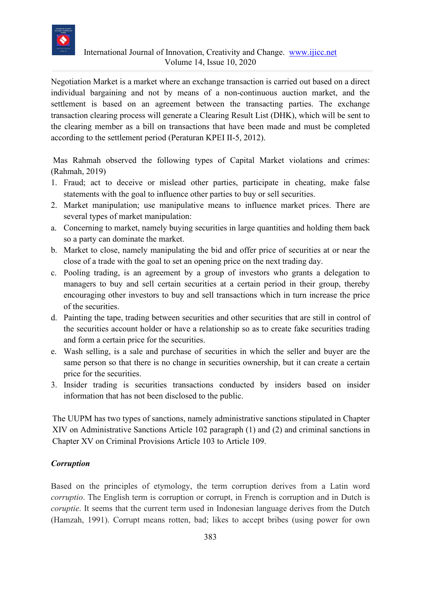

Negotiation Market is a market where an exchange transaction is carried out based on a direct individual bargaining and not by means of a non-continuous auction market, and the settlement is based on an agreement between the transacting parties. The exchange transaction clearing process will generate a Clearing Result List (DHK), which will be sent to the clearing member as a bill on transactions that have been made and must be completed according to the settlement period (Peraturan KPEI II-5, 2012).

Mas Rahmah observed the following types of Capital Market violations and crimes: (Rahmah, 2019)

- 1. Fraud; act to deceive or mislead other parties, participate in cheating, make false statements with the goal to influence other parties to buy or sell securities.
- 2. Market manipulation; use manipulative means to influence market prices. There are several types of market manipulation:
- a. Concerning to market, namely buying securities in large quantities and holding them back so a party can dominate the market.
- b. Market to close, namely manipulating the bid and offer price of securities at or near the close of a trade with the goal to set an opening price on the next trading day.
- c. Pooling trading, is an agreement by a group of investors who grants a delegation to managers to buy and sell certain securities at a certain period in their group, thereby encouraging other investors to buy and sell transactions which in turn increase the price of the securities.
- d. Painting the tape, trading between securities and other securities that are still in control of the securities account holder or have a relationship so as to create fake securities trading and form a certain price for the securities.
- e. Wash selling, is a sale and purchase of securities in which the seller and buyer are the same person so that there is no change in securities ownership, but it can create a certain price for the securities.
- 3. Insider trading is securities transactions conducted by insiders based on insider information that has not been disclosed to the public.

The UUPM has two types of sanctions, namely administrative sanctions stipulated in Chapter XIV on Administrative Sanctions Article 102 paragraph (1) and (2) and criminal sanctions in Chapter XV on Criminal Provisions Article 103 to Article 109.

# *Corruption*

Based on the principles of etymology, the term corruption derives from a Latin word *corruptio*. The English term is corruption or corrupt, in French is corruption and in Dutch is *coruptie*. It seems that the current term used in Indonesian language derives from the Dutch (Hamzah, 1991). Corrupt means rotten, bad; likes to accept bribes (using power for own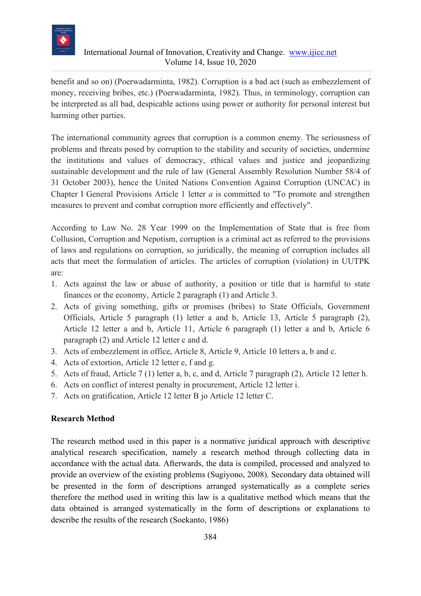

benefit and so on) (Poerwadarminta, 1982). Corruption is a bad act (such as embezzlement of money, receiving bribes, etc.) (Poerwadarminta, 1982). Thus, in terminology, corruption can be interpreted as all bad, despicable actions using power or authority for personal interest but harming other parties.

The international community agrees that corruption is a common enemy. The seriousness of problems and threats posed by corruption to the stability and security of societies, undermine the institutions and values of democracy, ethical values and justice and jeopardizing sustainable development and the rule of law (General Assembly Resolution Number 58/4 of 31 October 2003), hence the United Nations Convention Against Corruption (UNCAC) in Chapter I General Provisions Article 1 letter *a* is committed to "To promote and strengthen measures to prevent and combat corruption more efficiently and effectively".

According to Law No. 28 Year 1999 on the Implementation of State that is free from Collusion, Corruption and Nepotism, corruption is a criminal act as referred to the provisions of laws and regulations on corruption, so juridically, the meaning of corruption includes all acts that meet the formulation of articles. The articles of corruption (violation) in UUTPK are:

- 1. Acts against the law or abuse of authority, a position or title that is harmful to state finances or the economy, Article 2 paragraph (1) and Article 3.
- 2. Acts of giving something, gifts or promises (bribes) to State Officials, Government Officials, Article 5 paragraph (1) letter a and b, Article 13, Article 5 paragraph (2), Article 12 letter a and b, Article 11, Article 6 paragraph (1) letter a and b, Article 6 paragraph (2) and Article 12 letter c and d.
- 3. Acts of embezzlement in office, Article 8, Article 9, Article 10 letters a, b and c.
- 4. Acts of extortion, Article 12 letter e, f and g.
- 5. Acts of fraud, Article 7 (1) letter a, b, c, and d, Article 7 paragraph (2), Article 12 letter h.
- 6. Acts on conflict of interest penalty in procurement, Article 12 letter i.
- 7. Acts on gratification, Article 12 letter B jo Article 12 letter C.

#### **Research Method**

The research method used in this paper is a normative juridical approach with descriptive analytical research specification, namely a research method through collecting data in accordance with the actual data. Afterwards, the data is compiled, processed and analyzed to provide an overview of the existing problems (Sugiyono, 2008). Secondary data obtained will be presented in the form of descriptions arranged systematically as a complete series therefore the method used in writing this law is a qualitative method which means that the data obtained is arranged systematically in the form of descriptions or explanations to describe the results of the research (Soekanto, 1986)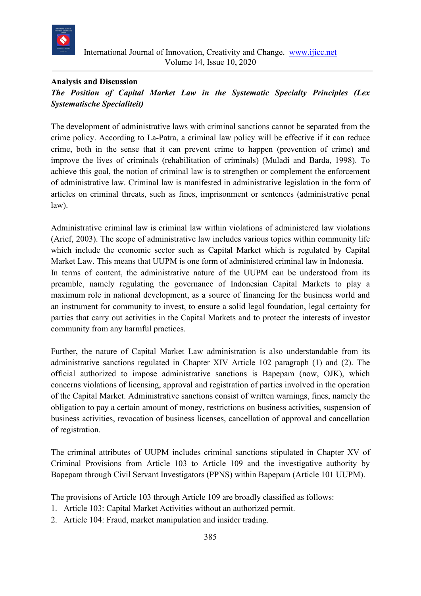

## **Analysis and Discussion**

# *The Position of Capital Market Law in the Systematic Specialty Principles (Lex Systematische Specialiteit)*

The development of administrative laws with criminal sanctions cannot be separated from the crime policy. According to La-Patra, a criminal law policy will be effective if it can reduce crime, both in the sense that it can prevent crime to happen (prevention of crime) and improve the lives of criminals (rehabilitation of criminals) (Muladi and Barda, 1998). To achieve this goal, the notion of criminal law is to strengthen or complement the enforcement of administrative law. Criminal law is manifested in administrative legislation in the form of articles on criminal threats, such as fines, imprisonment or sentences (administrative penal law).

Administrative criminal law is criminal law within violations of administered law violations (Arief, 2003). The scope of administrative law includes various topics within community life which include the economic sector such as Capital Market which is regulated by Capital Market Law. This means that UUPM is one form of administered criminal law in Indonesia. In terms of content, the administrative nature of the UUPM can be understood from its preamble, namely regulating the governance of Indonesian Capital Markets to play a maximum role in national development, as a source of financing for the business world and an instrument for community to invest, to ensure a solid legal foundation, legal certainty for parties that carry out activities in the Capital Markets and to protect the interests of investor community from any harmful practices.

Further, the nature of Capital Market Law administration is also understandable from its administrative sanctions regulated in Chapter XIV Article 102 paragraph (1) and (2). The official authorized to impose administrative sanctions is Bapepam (now, OJK), which concerns violations of licensing, approval and registration of parties involved in the operation of the Capital Market. Administrative sanctions consist of written warnings, fines, namely the obligation to pay a certain amount of money, restrictions on business activities, suspension of business activities, revocation of business licenses, cancellation of approval and cancellation of registration.

The criminal attributes of UUPM includes criminal sanctions stipulated in Chapter XV of Criminal Provisions from Article 103 to Article 109 and the investigative authority by Bapepam through Civil Servant Investigators (PPNS) within Bapepam (Article 101 UUPM).

The provisions of Article 103 through Article 109 are broadly classified as follows:

- 1. Article 103: Capital Market Activities without an authorized permit.
- 2. Article 104: Fraud, market manipulation and insider trading.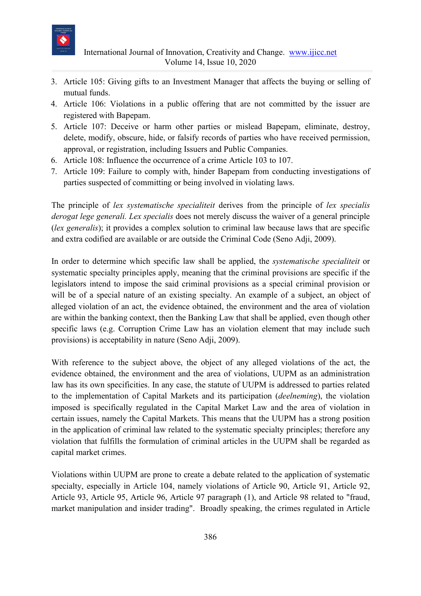

- 3. Article 105: Giving gifts to an Investment Manager that affects the buying or selling of mutual funds.
- 4. Article 106: Violations in a public offering that are not committed by the issuer are registered with Bapepam.
- 5. Article 107: Deceive or harm other parties or mislead Bapepam, eliminate, destroy, delete, modify, obscure, hide, or falsify records of parties who have received permission, approval, or registration, including Issuers and Public Companies.
- 6. Article 108: Influence the occurrence of a crime Article 103 to 107.
- 7. Article 109: Failure to comply with, hinder Bapepam from conducting investigations of parties suspected of committing or being involved in violating laws.

The principle of *lex systematische specialiteit* derives from the principle of *lex specialis derogat lege generali. Lex specialis* does not merely discuss the waiver of a general principle (*lex generalis*); it provides a complex solution to criminal law because laws that are specific and extra codified are available or are outside the Criminal Code (Seno Adji, 2009).

In order to determine which specific law shall be applied, the *systematische specialiteit* or systematic specialty principles apply, meaning that the criminal provisions are specific if the legislators intend to impose the said criminal provisions as a special criminal provision or will be of a special nature of an existing specialty. An example of a subject, an object of alleged violation of an act, the evidence obtained, the environment and the area of violation are within the banking context, then the Banking Law that shall be applied, even though other specific laws (e.g. Corruption Crime Law has an violation element that may include such provisions) is acceptability in nature (Seno Adji, 2009).

With reference to the subject above, the object of any alleged violations of the act, the evidence obtained, the environment and the area of violations, UUPM as an administration law has its own specificities. In any case, the statute of UUPM is addressed to parties related to the implementation of Capital Markets and its participation (*deelneming*), the violation imposed is specifically regulated in the Capital Market Law and the area of violation in certain issues, namely the Capital Markets. This means that the UUPM has a strong position in the application of criminal law related to the systematic specialty principles; therefore any violation that fulfills the formulation of criminal articles in the UUPM shall be regarded as capital market crimes.

Violations within UUPM are prone to create a debate related to the application of systematic specialty, especially in Article 104, namely violations of Article 90, Article 91, Article 92, Article 93, Article 95, Article 96, Article 97 paragraph (1), and Article 98 related to "fraud, market manipulation and insider trading". Broadly speaking, the crimes regulated in Article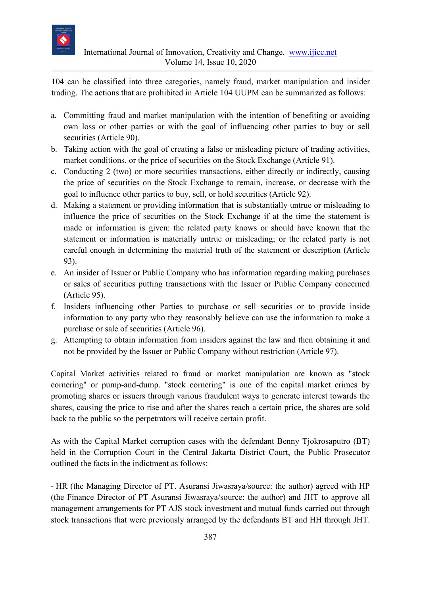

104 can be classified into three categories, namely fraud, market manipulation and insider trading. The actions that are prohibited in Article 104 UUPM can be summarized as follows:

- a. Committing fraud and market manipulation with the intention of benefiting or avoiding own loss or other parties or with the goal of influencing other parties to buy or sell securities (Article 90).
- b. Taking action with the goal of creating a false or misleading picture of trading activities, market conditions, or the price of securities on the Stock Exchange (Article 91).
- c. Conducting 2 (two) or more securities transactions, either directly or indirectly, causing the price of securities on the Stock Exchange to remain, increase, or decrease with the goal to influence other parties to buy, sell, or hold securities (Article 92).
- d. Making a statement or providing information that is substantially untrue or misleading to influence the price of securities on the Stock Exchange if at the time the statement is made or information is given: the related party knows or should have known that the statement or information is materially untrue or misleading; or the related party is not careful enough in determining the material truth of the statement or description (Article 93).
- e. An insider of Issuer or Public Company who has information regarding making purchases or sales of securities putting transactions with the Issuer or Public Company concerned (Article 95).
- f. Insiders influencing other Parties to purchase or sell securities or to provide inside information to any party who they reasonably believe can use the information to make a purchase or sale of securities (Article 96).
- g. Attempting to obtain information from insiders against the law and then obtaining it and not be provided by the Issuer or Public Company without restriction (Article 97).

Capital Market activities related to fraud or market manipulation are known as "stock cornering" or pump-and-dump. "stock cornering" is one of the capital market crimes by promoting shares or issuers through various fraudulent ways to generate interest towards the shares, causing the price to rise and after the shares reach a certain price, the shares are sold back to the public so the perpetrators will receive certain profit.

As with the Capital Market corruption cases with the defendant Benny Tjokrosaputro (BT) held in the Corruption Court in the Central Jakarta District Court, the Public Prosecutor outlined the facts in the indictment as follows:

- HR (the Managing Director of PT. Asuransi Jiwasraya/source: the author) agreed with HP (the Finance Director of PT Asuransi Jiwasraya/source: the author) and JHT to approve all management arrangements for PT AJS stock investment and mutual funds carried out through stock transactions that were previously arranged by the defendants BT and HH through JHT.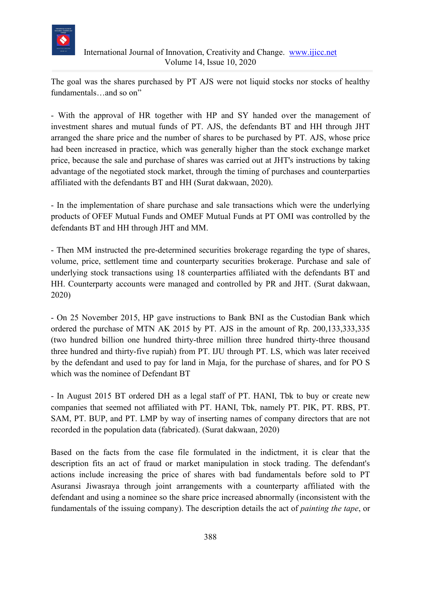

The goal was the shares purchased by PT AJS were not liquid stocks nor stocks of healthy fundamentals…and so on"

- With the approval of HR together with HP and SY handed over the management of investment shares and mutual funds of PT. AJS, the defendants BT and HH through JHT arranged the share price and the number of shares to be purchased by PT. AJS, whose price had been increased in practice, which was generally higher than the stock exchange market price, because the sale and purchase of shares was carried out at JHT's instructions by taking advantage of the negotiated stock market, through the timing of purchases and counterparties affiliated with the defendants BT and HH (Surat dakwaan, 2020).

- In the implementation of share purchase and sale transactions which were the underlying products of OFEF Mutual Funds and OMEF Mutual Funds at PT OMI was controlled by the defendants BT and HH through JHT and MM.

- Then MM instructed the pre-determined securities brokerage regarding the type of shares, volume, price, settlement time and counterparty securities brokerage. Purchase and sale of underlying stock transactions using 18 counterparties affiliated with the defendants BT and HH. Counterparty accounts were managed and controlled by PR and JHT. (Surat dakwaan, 2020)

- On 25 November 2015, HP gave instructions to Bank BNI as the Custodian Bank which ordered the purchase of MTN AK 2015 by PT. AJS in the amount of Rp. 200,133,333,335 (two hundred billion one hundred thirty-three million three hundred thirty-three thousand three hundred and thirty-five rupiah) from PT. IJU through PT. LS, which was later received by the defendant and used to pay for land in Maja, for the purchase of shares, and for PO S which was the nominee of Defendant BT

- In August 2015 BT ordered DH as a legal staff of PT. HANI, Tbk to buy or create new companies that seemed not affiliated with PT. HANI, Tbk, namely PT. PIK, PT. RBS, PT. SAM, PT. BUP, and PT. LMP by way of inserting names of company directors that are not recorded in the population data (fabricated). (Surat dakwaan, 2020)

Based on the facts from the case file formulated in the indictment, it is clear that the description fits an act of fraud or market manipulation in stock trading. The defendant's actions include increasing the price of shares with bad fundamentals before sold to PT Asuransi Jiwasraya through joint arrangements with a counterparty affiliated with the defendant and using a nominee so the share price increased abnormally (inconsistent with the fundamentals of the issuing company). The description details the act of *painting the tape*, or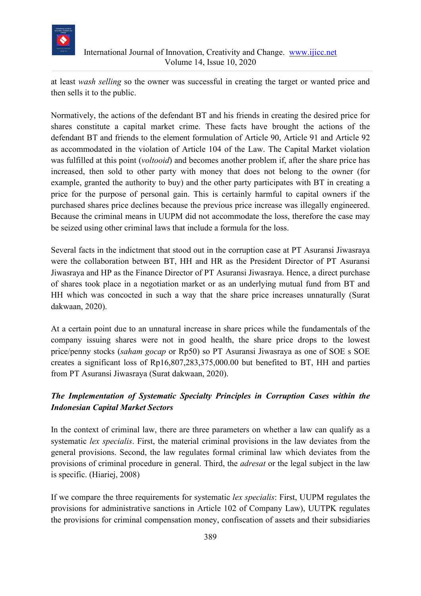

at least *wash selling* so the owner was successful in creating the target or wanted price and then sells it to the public.

Normatively, the actions of the defendant BT and his friends in creating the desired price for shares constitute a capital market crime. These facts have brought the actions of the defendant BT and friends to the element formulation of Article 90, Article 91 and Article 92 as accommodated in the violation of Article 104 of the Law. The Capital Market violation was fulfilled at this point (*voltooid*) and becomes another problem if, after the share price has increased, then sold to other party with money that does not belong to the owner (for example, granted the authority to buy) and the other party participates with BT in creating a price for the purpose of personal gain. This is certainly harmful to capital owners if the purchased shares price declines because the previous price increase was illegally engineered. Because the criminal means in UUPM did not accommodate the loss, therefore the case may be seized using other criminal laws that include a formula for the loss.

Several facts in the indictment that stood out in the corruption case at PT Asuransi Jiwasraya were the collaboration between BT, HH and HR as the President Director of PT Asuransi Jiwasraya and HP as the Finance Director of PT Asuransi Jiwasraya. Hence, a direct purchase of shares took place in a negotiation market or as an underlying mutual fund from BT and HH which was concocted in such a way that the share price increases unnaturally (Surat dakwaan, 2020).

At a certain point due to an unnatural increase in share prices while the fundamentals of the company issuing shares were not in good health, the share price drops to the lowest price/penny stocks (*saham gocap* or Rp50) so PT Asuransi Jiwasraya as one of SOE s SOE creates a significant loss of Rp16,807,283,375,000.00 but benefited to BT, HH and parties from PT Asuransi Jiwasraya (Surat dakwaan, 2020).

# *The Implementation of Systematic Specialty Principles in Corruption Cases within the Indonesian Capital Market Sectors*

In the context of criminal law, there are three parameters on whether a law can qualify as a systematic *lex specialis*. First, the material criminal provisions in the law deviates from the general provisions. Second, the law regulates formal criminal law which deviates from the provisions of criminal procedure in general. Third, the *adresat* or the legal subject in the law is specific. (Hiariej, 2008)

If we compare the three requirements for systematic *lex specialis*: First, UUPM regulates the provisions for administrative sanctions in Article 102 of Company Law), UUTPK regulates the provisions for criminal compensation money, confiscation of assets and their subsidiaries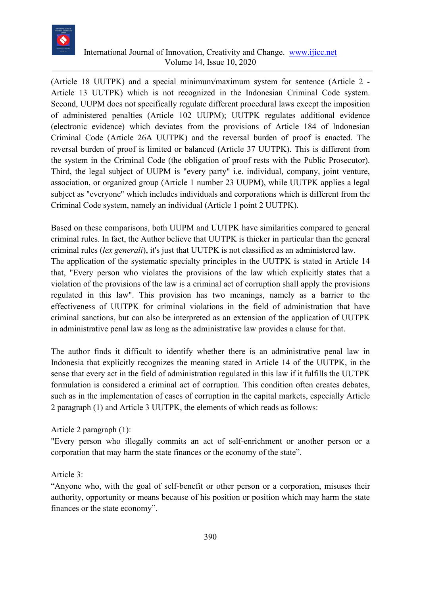

(Article 18 UUTPK) and a special minimum/maximum system for sentence (Article 2 - Article 13 UUTPK) which is not recognized in the Indonesian Criminal Code system. Second, UUPM does not specifically regulate different procedural laws except the imposition of administered penalties (Article 102 UUPM); UUTPK regulates additional evidence (electronic evidence) which deviates from the provisions of Article 184 of Indonesian Criminal Code (Article 26A UUTPK) and the reversal burden of proof is enacted. The reversal burden of proof is limited or balanced (Article 37 UUTPK). This is different from the system in the Criminal Code (the obligation of proof rests with the Public Prosecutor). Third, the legal subject of UUPM is "every party" i.e. individual, company, joint venture, association, or organized group (Article 1 number 23 UUPM), while UUTPK applies a legal subject as "everyone" which includes individuals and corporations which is different from the Criminal Code system, namely an individual (Article 1 point 2 UUTPK).

Based on these comparisons, both UUPM and UUTPK have similarities compared to general criminal rules. In fact, the Author believe that UUTPK is thicker in particular than the general criminal rules (*lex generali*), it's just that UUTPK is not classified as an administered law. The application of the systematic specialty principles in the UUTPK is stated in Article 14 that, "Every person who violates the provisions of the law which explicitly states that a violation of the provisions of the law is a criminal act of corruption shall apply the provisions regulated in this law". This provision has two meanings, namely as a barrier to the effectiveness of UUTPK for criminal violations in the field of administration that have criminal sanctions, but can also be interpreted as an extension of the application of UUTPK in administrative penal law as long as the administrative law provides a clause for that.

The author finds it difficult to identify whether there is an administrative penal law in Indonesia that explicitly recognizes the meaning stated in Article 14 of the UUTPK, in the sense that every act in the field of administration regulated in this law if it fulfills the UUTPK formulation is considered a criminal act of corruption. This condition often creates debates, such as in the implementation of cases of corruption in the capital markets, especially Article 2 paragraph (1) and Article 3 UUTPK, the elements of which reads as follows:

## Article 2 paragraph (1):

"Every person who illegally commits an act of self-enrichment or another person or a corporation that may harm the state finances or the economy of the state".

Article 3:

"Anyone who, with the goal of self-benefit or other person or a corporation, misuses their authority, opportunity or means because of his position or position which may harm the state finances or the state economy".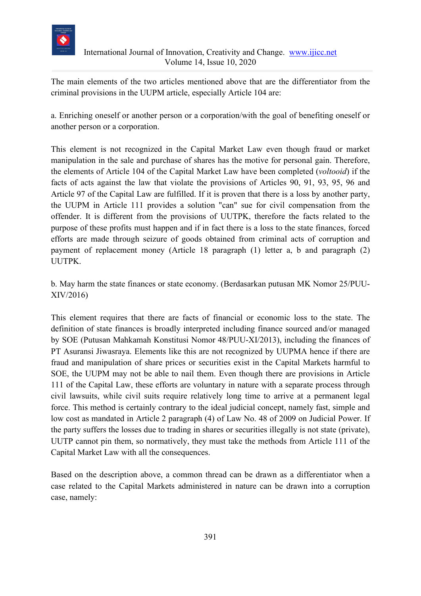

The main elements of the two articles mentioned above that are the differentiator from the criminal provisions in the UUPM article, especially Article 104 are:

a. Enriching oneself or another person or a corporation/with the goal of benefiting oneself or another person or a corporation.

This element is not recognized in the Capital Market Law even though fraud or market manipulation in the sale and purchase of shares has the motive for personal gain. Therefore, the elements of Article 104 of the Capital Market Law have been completed (*voltooid*) if the facts of acts against the law that violate the provisions of Articles 90, 91, 93, 95, 96 and Article 97 of the Capital Law are fulfilled. If it is proven that there is a loss by another party, the UUPM in Article 111 provides a solution "can" sue for civil compensation from the offender. It is different from the provisions of UUTPK, therefore the facts related to the purpose of these profits must happen and if in fact there is a loss to the state finances, forced efforts are made through seizure of goods obtained from criminal acts of corruption and payment of replacement money (Article 18 paragraph (1) letter a, b and paragraph (2) UUTPK.

b. May harm the state finances or state economy. (Berdasarkan putusan MK Nomor 25/PUU-XIV/2016)

This element requires that there are facts of financial or economic loss to the state. The definition of state finances is broadly interpreted including finance sourced and/or managed by SOE (Putusan Mahkamah Konstitusi Nomor 48/PUU-XI/2013), including the finances of PT Asuransi Jiwasraya. Elements like this are not recognized by UUPMA hence if there are fraud and manipulation of share prices or securities exist in the Capital Markets harmful to SOE, the UUPM may not be able to nail them. Even though there are provisions in Article 111 of the Capital Law, these efforts are voluntary in nature with a separate process through civil lawsuits, while civil suits require relatively long time to arrive at a permanent legal force. This method is certainly contrary to the ideal judicial concept, namely fast, simple and low cost as mandated in Article 2 paragraph (4) of Law No. 48 of 2009 on Judicial Power. If the party suffers the losses due to trading in shares or securities illegally is not state (private), UUTP cannot pin them, so normatively, they must take the methods from Article 111 of the Capital Market Law with all the consequences.

Based on the description above, a common thread can be drawn as a differentiator when a case related to the Capital Markets administered in nature can be drawn into a corruption case, namely: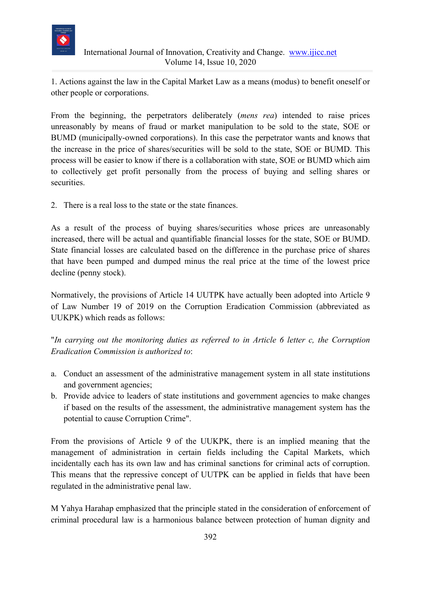

1. Actions against the law in the Capital Market Law as a means (modus) to benefit oneself or other people or corporations.

From the beginning, the perpetrators deliberately (*mens rea*) intended to raise prices unreasonably by means of fraud or market manipulation to be sold to the state, SOE or BUMD (municipally-owned corporations). In this case the perpetrator wants and knows that the increase in the price of shares/securities will be sold to the state, SOE or BUMD. This process will be easier to know if there is a collaboration with state, SOE or BUMD which aim to collectively get profit personally from the process of buying and selling shares or securities.

2. There is a real loss to the state or the state finances.

As a result of the process of buying shares/securities whose prices are unreasonably increased, there will be actual and quantifiable financial losses for the state, SOE or BUMD. State financial losses are calculated based on the difference in the purchase price of shares that have been pumped and dumped minus the real price at the time of the lowest price decline (penny stock).

Normatively, the provisions of Article 14 UUTPK have actually been adopted into Article 9 of Law Number 19 of 2019 on the Corruption Eradication Commission (abbreviated as UUKPK) which reads as follows:

"*In carrying out the monitoring duties as referred to in Article 6 letter c, the Corruption Eradication Commission is authorized to*:

- a. Conduct an assessment of the administrative management system in all state institutions and government agencies;
- b. Provide advice to leaders of state institutions and government agencies to make changes if based on the results of the assessment, the administrative management system has the potential to cause Corruption Crime".

From the provisions of Article 9 of the UUKPK, there is an implied meaning that the management of administration in certain fields including the Capital Markets, which incidentally each has its own law and has criminal sanctions for criminal acts of corruption. This means that the repressive concept of UUTPK can be applied in fields that have been regulated in the administrative penal law.

M Yahya Harahap emphasized that the principle stated in the consideration of enforcement of criminal procedural law is a harmonious balance between protection of human dignity and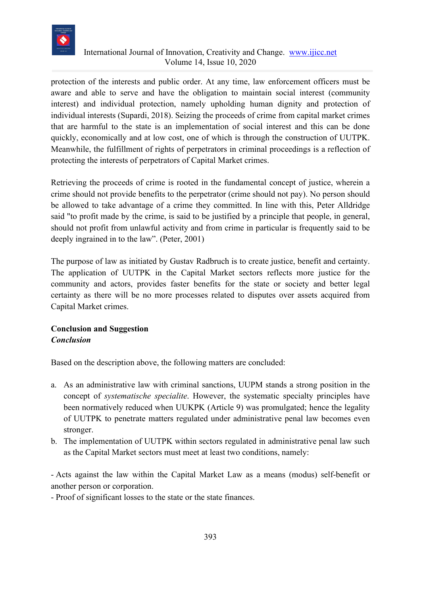

protection of the interests and public order. At any time, law enforcement officers must be aware and able to serve and have the obligation to maintain social interest (community interest) and individual protection, namely upholding human dignity and protection of individual interests (Supardi, 2018). Seizing the proceeds of crime from capital market crimes that are harmful to the state is an implementation of social interest and this can be done quickly, economically and at low cost, one of which is through the construction of UUTPK. Meanwhile, the fulfillment of rights of perpetrators in criminal proceedings is a reflection of protecting the interests of perpetrators of Capital Market crimes.

Retrieving the proceeds of crime is rooted in the fundamental concept of justice, wherein a crime should not provide benefits to the perpetrator (crime should not pay). No person should be allowed to take advantage of a crime they committed. In line with this, Peter Alldridge said "to profit made by the crime, is said to be justified by a principle that people, in general, should not profit from unlawful activity and from crime in particular is frequently said to be deeply ingrained in to the law". (Peter, 2001)

The purpose of law as initiated by Gustav Radbruch is to create justice, benefit and certainty. The application of UUTPK in the Capital Market sectors reflects more justice for the community and actors, provides faster benefits for the state or society and better legal certainty as there will be no more processes related to disputes over assets acquired from Capital Market crimes.

# **Conclusion and Suggestion** *Conclusion*

Based on the description above, the following matters are concluded:

- a. As an administrative law with criminal sanctions, UUPM stands a strong position in the concept of *systematische specialite*. However, the systematic specialty principles have been normatively reduced when UUKPK (Article 9) was promulgated; hence the legality of UUTPK to penetrate matters regulated under administrative penal law becomes even stronger.
- b. The implementation of UUTPK within sectors regulated in administrative penal law such as the Capital Market sectors must meet at least two conditions, namely:

- Acts against the law within the Capital Market Law as a means (modus) self-benefit or another person or corporation.

- Proof of significant losses to the state or the state finances.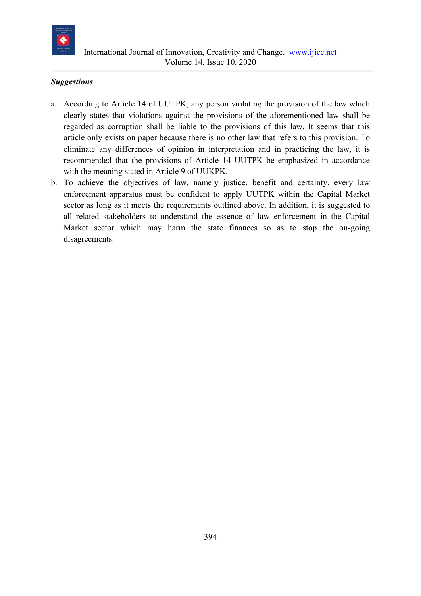

## *Suggestions*

- a. According to Article 14 of UUTPK, any person violating the provision of the law which clearly states that violations against the provisions of the aforementioned law shall be regarded as corruption shall be liable to the provisions of this law. It seems that this article only exists on paper because there is no other law that refers to this provision. To eliminate any differences of opinion in interpretation and in practicing the law, it is recommended that the provisions of Article 14 UUTPK be emphasized in accordance with the meaning stated in Article 9 of UUKPK.
- b. To achieve the objectives of law, namely justice, benefit and certainty, every law enforcement apparatus must be confident to apply UUTPK within the Capital Market sector as long as it meets the requirements outlined above. In addition, it is suggested to all related stakeholders to understand the essence of law enforcement in the Capital Market sector which may harm the state finances so as to stop the on-going disagreements.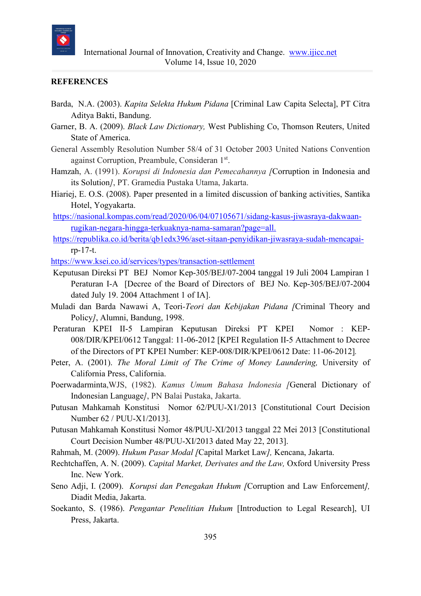

#### **REFERENCES**

- Barda, N.A. (2003). *Kapita Selekta Hukum Pidana* [Criminal Law Capita Selecta], PT Citra Aditya Bakti, Bandung.
- Garner, B. A. (2009). *Black Law Dictionary,* West Publishing Co, Thomson Reuters, United State of America.
- General Assembly Resolution Number 58/4 of 31 October 2003 United Nations Convention against Corruption, Preambule, Consideran 1st.
- Hamzah, A. (1991). *Korupsi di Indonesia dan Pemecahannya [*Corruption in Indonesia and its Solution*]*, PT. Gramedia Pustaka Utama, Jakarta.
- Hiariej, E. O.S. (2008). Paper presented in a limited discussion of banking activities, Santika Hotel, Yogyakarta.
- [https://nasional.kompas.com/read/2020/06/04/07105671/sidang-kasus-jiwasraya-dakwaan](https://nasional.kompas.com/read/2020/06/04/07105671/sidang-kasus-jiwasraya-dakwaan-rugikan-negara-hingga-terkuaknya-nama-samaran?page=all.)[rugikan-negara-hingga-terkuaknya-nama-samaran?page=all.](https://nasional.kompas.com/read/2020/06/04/07105671/sidang-kasus-jiwasraya-dakwaan-rugikan-negara-hingga-terkuaknya-nama-samaran?page=all.)
- [https://republika.co.id/berita/qb1edx396/aset-sitaan-penyidikan-jiwasraya-sudah-mencapai](https://republika.co.id/berita/qb1edx396/aset-sitaan-penyidikan-jiwasraya-sudah-mencapai-)rp-17-t.
- <https://www.ksei.co.id/services/types/transaction-settlement>
- Keputusan Direksi PT BEJ Nomor Kep-305/BEJ/07-2004 tanggal 19 Juli 2004 Lampiran 1 Peraturan I-A [Decree of the Board of Directors of BEJ No. Kep-305/BEJ/07-2004 dated July 19. 2004 Attachment 1 of IA].
- Muladi dan Barda Nawawi A, Teori*-Teori dan Kebijakan Pidana [*Criminal Theory and Policy*]*, Alumni, Bandung, 1998.
- Peraturan KPEI II-5 Lampiran Keputusan Direksi PT KPEI Nomor : KEP-008/DIR/KPEI/0612 Tanggal: 11-06-2012 [KPEI Regulation II-5 Attachment to Decree of the Directors of PT KPEI Number: KEP-008/DIR/KPEI/0612 Date: 11-06-2012]*.*
- Peter, A. (2001). *The Moral Limit of The Crime of Money Laundering,* University of California Press, California.
- Poerwadarminta,WJS, (1982). *Kamus Umum Bahasa Indonesia [*General Dictionary of Indonesian Language*]*, PN Balai Pustaka, Jakarta.
- Putusan Mahkamah Konstitusi Nomor 62/PUU-X1/2013 [Constitutional Court Decision Number 62 / PUU-X1/2013].
- Putusan Mahkamah Konstitusi Nomor 48/PUU-XI/2013 tanggal 22 Mei 2013 [Constitutional Court Decision Number 48/PUU-XI/2013 dated May 22, 2013].
- Rahmah, M. (2009). *Hukum Pasar Modal [*Capital Market Law*],* Kencana, Jakarta.
- Rechtchaffen, A. N. (2009). *Capital Market, Derivates and the Law,* Oxford University Press Inc. New York.
- Seno Adji, I. (2009). *Korupsi dan Penegakan Hukum [*Corruption and Law Enforcement*],*  Diadit Media, Jakarta.
- Soekanto, S. (1986). *Pengantar Penelitian Hukum* [Introduction to Legal Research], UI Press, Jakarta.